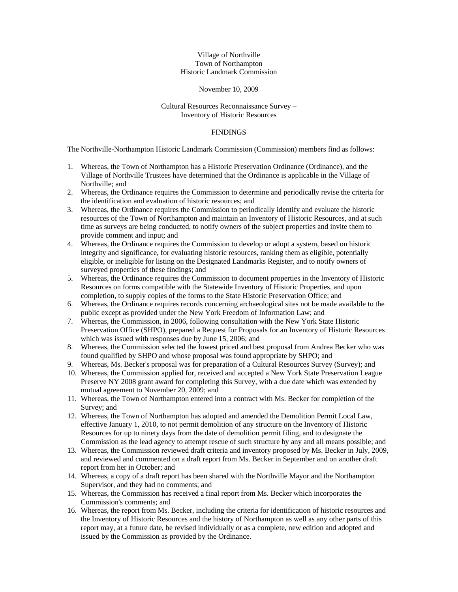## Village of Northville Town of Northampton Historic Landmark Commission

## November 10, 2009

## Cultural Resources Reconnaissance Survey – Inventory of Historic Resources

## **FINDINGS**

The Northville-Northampton Historic Landmark Commission (Commission) members find as follows:

- 1. Whereas, the Town of Northampton has a Historic Preservation Ordinance (Ordinance), and the Village of Northville Trustees have determined that the Ordinance is applicable in the Village of Northville; and
- 2. Whereas, the Ordinance requires the Commission to determine and periodically revise the criteria for the identification and evaluation of historic resources; and
- 3. Whereas, the Ordinance requires the Commission to periodically identify and evaluate the historic resources of the Town of Northampton and maintain an Inventory of Historic Resources, and at such time as surveys are being conducted, to notify owners of the subject properties and invite them to provide comment and input; and
- 4. Whereas, the Ordinance requires the Commission to develop or adopt a system, based on historic integrity and significance, for evaluating historic resources, ranking them as eligible, potentially eligible, or ineligible for listing on the Designated Landmarks Register, and to notify owners of surveyed properties of these findings; and
- 5. Whereas, the Ordinance requires the Commission to document properties in the Inventory of Historic Resources on forms compatible with the Statewide Inventory of Historic Properties, and upon completion, to supply copies of the forms to the State Historic Preservation Office; and
- 6. Whereas, the Ordinance requires records concerning archaeological sites not be made available to the public except as provided under the New York Freedom of Information Law; and
- 7. Whereas, the Commission, in 2006, following consultation with the New York State Historic Preservation Office (SHPO), prepared a Request for Proposals for an Inventory of Historic Resources which was issued with responses due by June 15, 2006; and
- 8. Whereas, the Commission selected the lowest priced and best proposal from Andrea Becker who was found qualified by SHPO and whose proposal was found appropriate by SHPO; and
- 9. Whereas, Ms. Becker's proposal was for preparation of a Cultural Resources Survey (Survey); and
- 10. Whereas, the Commission applied for, received and accepted a New York State Preservation League Preserve NY 2008 grant award for completing this Survey, with a due date which was extended by mutual agreement to November 20, 2009; and
- 11. Whereas, the Town of Northampton entered into a contract with Ms. Becker for completion of the Survey; and
- 12. Whereas, the Town of Northampton has adopted and amended the Demolition Permit Local Law, effective January 1, 2010, to not permit demolition of any structure on the Inventory of Historic Resources for up to ninety days from the date of demolition permit filing, and to designate the Commission as the lead agency to attempt rescue of such structure by any and all means possible; and
- 13. Whereas, the Commission reviewed draft criteria and inventory proposed by Ms. Becker in July, 2009, and reviewed and commented on a draft report from Ms. Becker in September and on another draft report from her in October; and
- 14. Whereas, a copy of a draft report has been shared with the Northville Mayor and the Northampton Supervisor, and they had no comments; and
- 15. Whereas, the Commission has received a final report from Ms. Becker which incorporates the Commission's comments; and
- 16. Whereas, the report from Ms. Becker, including the criteria for identification of historic resources and the Inventory of Historic Resources and the history of Northampton as well as any other parts of this report may, at a future date, be revised individually or as a complete, new edition and adopted and issued by the Commission as provided by the Ordinance.